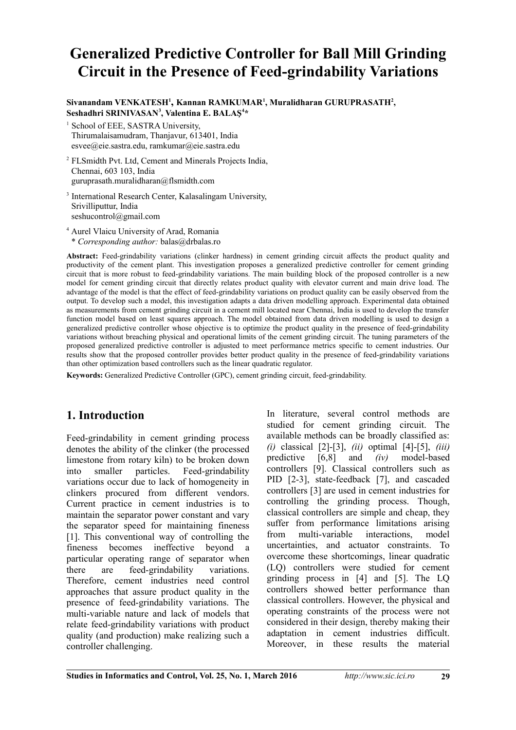# **Generalized Predictive Controller for Ball Mill Grinding Circuit in the Presence of Feed-grindability Variations**

 $\boldsymbol{\mathrm{S}}$ ivanandam VENKATESH<sup>1</sup>, Kannan RAMKUMAR<sup>1</sup>, Muralidharan GURUPRASATH<sup>2</sup>, **Seshadhri SRINIVASAN<sup>3</sup> , Valentina E. BALAŞ<sup>4</sup> \***

School of EEE, SASTRA University, Thirumalaisamudram, Thanjavur, 613401, India esvee@eie.sastra.edu, ramkumar@eie.sastra.edu

<sup>2</sup>FLSmidth Pvt. Ltd, Cement and Minerals Projects India, Chennai, 603 103, India guruprasath.muralidharan@flsmidth.com

<sup>3</sup> International Research Center, Kalasalingam University, Srivilliputtur, India seshucontrol@gmail.com

<sup>4</sup> Aurel Vlaicu University of Arad, Romania \* *Corresponding author:* balas@drbalas.ro

**Abstract:** Feed-grindability variations (clinker hardness) in cement grinding circuit affects the product quality and productivity of the cement plant. This investigation proposes a generalized predictive controller for cement grinding circuit that is more robust to feed-grindability variations. The main building block of the proposed controller is a new model for cement grinding circuit that directly relates product quality with elevator current and main drive load. The advantage of the model is that the effect of feed-grindability variations on product quality can be easily observed from the output. To develop such a model, this investigation adapts a data driven modelling approach. Experimental data obtained as measurements from cement grinding circuit in a cement mill located near Chennai, India is used to develop the transfer function model based on least squares approach. The model obtained from data driven modelling is used to design a generalized predictive controller whose objective is to optimize the product quality in the presence of feed-grindability variations without breaching physical and operational limits of the cement grinding circuit. The tuning parameters of the proposed generalized predictive controller is adjusted to meet performance metrics specific to cement industries. Our results show that the proposed controller provides better product quality in the presence of feed-grindability variations than other optimization based controllers such as the linear quadratic regulator.

**Keywords:** Generalized Predictive Controller (GPC), cement grinding circuit, feed-grindability.

# **1. Introduction**

Feed-grindability in cement grinding process denotes the ability of the clinker (the processed limestone from rotary kiln) to be broken down into smaller particles. Feed-grindability variations occur due to lack of homogeneity in clinkers procured from different vendors. Current practice in cement industries is to maintain the separator power constant and vary the separator speed for maintaining fineness [1]. This conventional way of controlling the fineness becomes ineffective beyond a particular operating range of separator when there are feed-grindability variations. Therefore, cement industries need control approaches that assure product quality in the presence of feed-grindability variations. The multi-variable nature and lack of models that relate feed-grindability variations with product quality (and production) make realizing such a controller challenging.

In literature, several control methods are studied for cement grinding circuit. The available methods can be broadly classified as: *(i)* classical [2]-[3], *(ii)* optimal [4]-[5], *(iii)* predictive [6,8] and *(iv)* model-based controllers [9]. Classical controllers such as PID [2-3], state-feedback [7], and cascaded controllers [3] are used in cement industries for controlling the grinding process. Though, classical controllers are simple and cheap, they suffer from performance limitations arising from multi-variable interactions, model uncertainties, and actuator constraints. To overcome these shortcomings, linear quadratic (LQ) controllers were studied for cement grinding process in [4] and [5]. The LQ controllers showed better performance than classical controllers. However, the physical and operating constraints of the process were not considered in their design, thereby making their adaptation in cement industries difficult. Moreover, in these results the material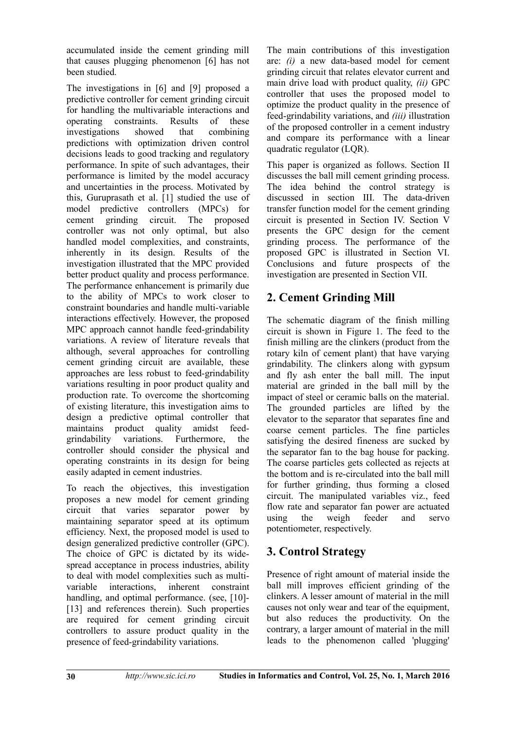accumulated inside the cement grinding mill that causes plugging phenomenon [6] has not been studied.

The investigations in [6] and [9] proposed a predictive controller for cement grinding circuit for handling the multivariable interactions and operating constraints. Results of these investigations showed that combining predictions with optimization driven control decisions leads to good tracking and regulatory performance. In spite of such advantages, their performance is limited by the model accuracy and uncertainties in the process. Motivated by this, Guruprasath et al. [1] studied the use of model predictive controllers (MPCs) for cement grinding circuit. The proposed controller was not only optimal, but also handled model complexities, and constraints, inherently in its design. Results of the investigation illustrated that the MPC provided better product quality and process performance. The performance enhancement is primarily due to the ability of MPCs to work closer to constraint boundaries and handle multi-variable interactions effectively. However, the proposed MPC approach cannot handle feed-grindability variations. A review of literature reveals that although, several approaches for controlling cement grinding circuit are available, these approaches are less robust to feed-grindability variations resulting in poor product quality and production rate. To overcome the shortcoming of existing literature, this investigation aims to design a predictive optimal controller that maintains product quality amidst feedgrindability variations. Furthermore, the controller should consider the physical and operating constraints in its design for being easily adapted in cement industries.

To reach the objectives, this investigation proposes a new model for cement grinding circuit that varies separator power by maintaining separator speed at its optimum efficiency. Next, the proposed model is used to design generalized predictive controller (GPC). The choice of GPC is dictated by its widespread acceptance in process industries, ability to deal with model complexities such as multivariable interactions, inherent constraint handling, and optimal performance. (see, [10]-[13] and references therein). Such properties are required for cement grinding circuit controllers to assure product quality in the presence of feed-grindability variations.

The main contributions of this investigation are: *(i)* a new data-based model for cement grinding circuit that relates elevator current and main drive load with product quality, *(ii)* GPC controller that uses the proposed model to optimize the product quality in the presence of feed-grindability variations, and *(iii)* illustration of the proposed controller in a cement industry and compare its performance with a linear quadratic regulator (LQR).

This paper is organized as follows. Section II discusses the ball mill cement grinding process. The idea behind the control strategy is discussed in section III. The data-driven transfer function model for the cement grinding circuit is presented in Section IV. Section V presents the GPC design for the cement grinding process. The performance of the proposed GPC is illustrated in Section VI. Conclusions and future prospects of the investigation are presented in Section VII.

# **2. Cement Grinding Mill**

The schematic diagram of the finish milling circuit is shown in Figure 1. The feed to the finish milling are the clinkers (product from the rotary kiln of cement plant) that have varying grindability. The clinkers along with gypsum and fly ash enter the ball mill. The input material are grinded in the ball mill by the impact of steel or ceramic balls on the material. The grounded particles are lifted by the elevator to the separator that separates fine and coarse cement particles. The fine particles satisfying the desired fineness are sucked by the separator fan to the bag house for packing. The coarse particles gets collected as rejects at the bottom and is re-circulated into the ball mill for further grinding, thus forming a closed circuit. The manipulated variables viz., feed flow rate and separator fan power are actuated using the weigh feeder and servo potentiometer, respectively.

# **3. Control Strategy**

Presence of right amount of material inside the ball mill improves efficient grinding of the clinkers. A lesser amount of material in the mill causes not only wear and tear of the equipment, but also reduces the productivity. On the contrary, a larger amount of material in the mill leads to the phenomenon called 'plugging'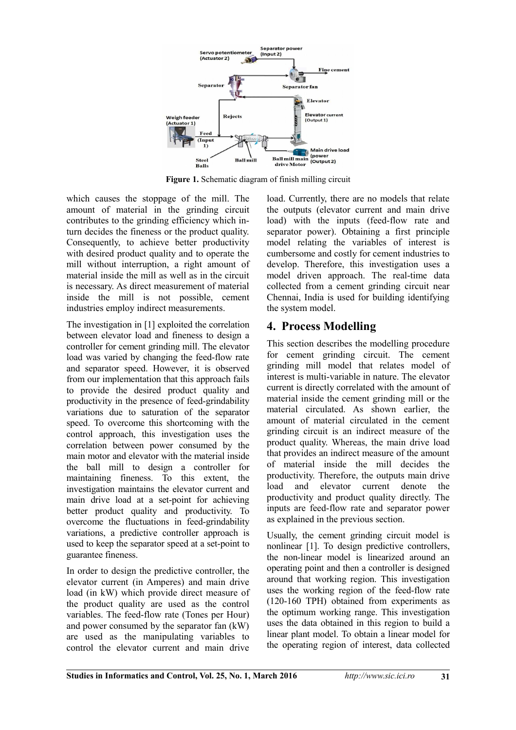

Figure 1. Schematic diagram of finish milling circuit

which causes the stoppage of the mill. The amount of material in the grinding circuit contributes to the grinding efficiency which inturn decides the fineness or the product quality. Consequently, to achieve better productivity with desired product quality and to operate the mill without interruption, a right amount of material inside the mill as well as in the circuit is necessary. As direct measurement of material inside the mill is not possible, cement industries employ indirect measurements.

The investigation in [1] exploited the correlation between elevator load and fineness to design a controller for cement grinding mill. The elevator load was varied by changing the feed-flow rate and separator speed. However, it is observed from our implementation that this approach fails to provide the desired product quality and productivity in the presence of feed-grindability variations due to saturation of the separator speed. To overcome this shortcoming with the control approach, this investigation uses the correlation between power consumed by the main motor and elevator with the material inside the ball mill to design a controller for maintaining fineness. To this extent, the investigation maintains the elevator current and main drive load at a set-point for achieving better product quality and productivity. To overcome the fluctuations in feed-grindability variations, a predictive controller approach is used to keep the separator speed at a set-point to guarantee fineness.

In order to design the predictive controller, the elevator current (in Amperes) and main drive load (in kW) which provide direct measure of the product quality are used as the control variables. The feed-flow rate (Tones per Hour) and power consumed by the separator fan (kW) are used as the manipulating variables to control the elevator current and main drive

load. Currently, there are no models that relate the outputs (elevator current and main drive load) with the inputs (feed-flow rate and separator power). Obtaining a first principle model relating the variables of interest is cumbersome and costly for cement industries to develop. Therefore, this investigation uses a model driven approach. The real-time data collected from a cement grinding circuit near Chennai, India is used for building identifying the system model.

# **4. Process Modelling**

This section describes the modelling procedure for cement grinding circuit. The cement grinding mill model that relates model of interest is multi-variable in nature. The elevator current is directly correlated with the amount of material inside the cement grinding mill or the material circulated. As shown earlier, the amount of material circulated in the cement grinding circuit is an indirect measure of the product quality. Whereas, the main drive load that provides an indirect measure of the amount of material inside the mill decides the productivity. Therefore, the outputs main drive load and elevator current denote the productivity and product quality directly. The inputs are feed-flow rate and separator power as explained in the previous section.

Usually, the cement grinding circuit model is nonlinear [1]. To design predictive controllers, the non-linear model is linearized around an operating point and then a controller is designed around that working region. This investigation uses the working region of the feed-flow rate (120-160 TPH) obtained from experiments as the optimum working range. This investigation uses the data obtained in this region to build a linear plant model. To obtain a linear model for the operating region of interest, data collected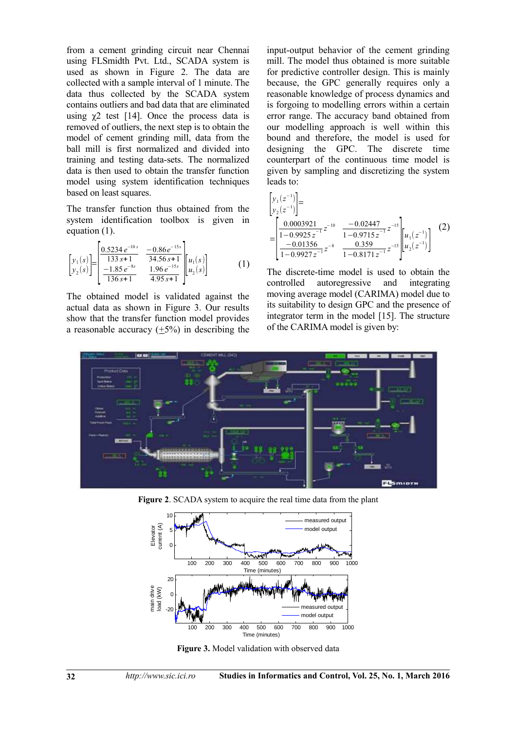from a cement grinding circuit near Chennai using FLSmidth Pvt. Ltd., SCADA system is used as shown in Figure 2. The data are collected with a sample interval of 1 minute. The data thus collected by the SCADA system contains outliers and bad data that are eliminated using  $\chi$ 2 test [14]. Once the process data is removed of outliers, the next step is to obtain the model of cement grinding mill, data from the ball mill is first normalized and divided into training and testing data-sets. The normalized data is then used to obtain the transfer function model using system identification techniques based on least squares.

The transfer function thus obtained from the system identification toolbox is given in equation (1).

$$
\begin{bmatrix} y_1(s) \\ y_2(s) \end{bmatrix} = \begin{bmatrix} \frac{0.5234 e^{-10s}}{133 s + 1} & \frac{-0.86 e^{-15s}}{34.56 s + 1} \\ \frac{-1.85 e^{-8s}}{136 s + 1} & \frac{1.96 e^{-15s}}{4.95 s + 1} \end{bmatrix} u_1(s) \begin{bmatrix} u_1(s) \\ u_2(s) \end{bmatrix}
$$
 (1)

The obtained model is validated against the actual data as shown in Figure 3. Our results show that the transfer function model provides a reasonable accuracy  $(+5%)$  in describing the input-output behavior of the cement grinding mill. The model thus obtained is more suitable for predictive controller design. This is mainly because, the GPC generally requires only a reasonable knowledge of process dynamics and is forgoing to modelling errors within a certain error range. The accuracy band obtained from our modelling approach is well within this bound and therefore, the model is used for designing the GPC. The discrete time counterpart of the continuous time model is given by sampling and discretizing the system leads to:

$$
\begin{bmatrix} y_1(z^{-1}) \\ y_2(z^{-1}) \end{bmatrix} = \begin{bmatrix} y_1(z^{-1}) \\ y_2(z^{-1}) \end{bmatrix} = \begin{bmatrix} 0.0003921 & z^{-10} & \frac{-0.02447}{1 - 0.9715 z^{-1}} z^{-15} \\ \frac{-0.01356}{1 - 0.9927 z^{-1}} z^{-8} & \frac{0.359}{1 - 0.8171 z^{-1}} z^{-15} \end{bmatrix} u_1(z^{-1}) \begin{bmatrix} 2 \end{bmatrix}
$$

The discrete-time model is used to obtain the controlled autoregressive and integrating moving average model (CARIMA) model due to its suitability to design GPC and the presence of integrator term in the model [15]. The structure of the CARIMA model is given by:



**Figure 2**. SCADA system to acquire the real time data from the plant



**Figure 3.** Model validation with observed data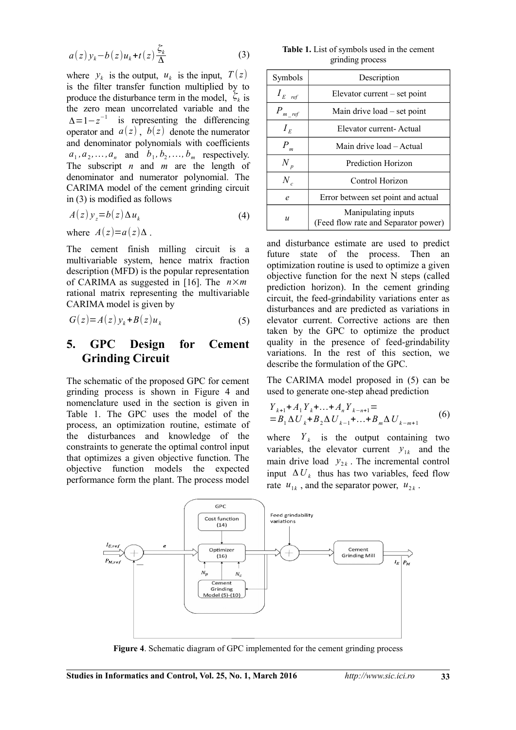$$
a(z)y_k - b(z)u_k + t(z)\frac{\zeta_k}{\Delta} \tag{3}
$$

where  $y_k$  is the output,  $u_k$  is the input,  $T(z)$ is the filter transfer function multiplied by to produce the disturbance term in the model,  $\zeta_k$  is the zero mean uncorrelated variable and the  $\Delta = 1 - z^{-1}$  is representing the differencing operator and  $a(z)$ ,  $b(z)$  denote the numerator and denominator polynomials with coefficients  $a_1, a_2, \ldots, a_n$  and  $b_1, b_2, \ldots, b_m$  respectively. The subscript *n* and *m* are the length of denominator and numerator polynomial. The CARIMA model of the cement grinding circuit in (3) is modified as follows

$$
A(z)y_z = b(z)\Delta u_k \tag{4}
$$

where  $A(z)=a(z)\Delta$ .

The cement finish milling circuit is a multivariable system, hence matrix fraction description (MFD) is the popular representation of CARIMA as suggested in [16]. The *n*×*m* rational matrix representing the multivariable CARIMA model is given by

$$
G(z) = A(z) y_k + B(z) u_k \tag{5}
$$

### **5. GPC Design for Cement Grinding Circuit**

The schematic of the proposed GPC for cement grinding process is shown in Figure 4 and nomenclature used in the section is given in Table 1. The GPC uses the model of the process, an optimization routine, estimate of the disturbances and knowledge of the constraints to generate the optimal control input that optimizes a given objective function. The objective function models the expected performance form the plant. The process model

**Table 1.** List of symbols used in the cement grinding process

| Symbols            | Description                                                 |
|--------------------|-------------------------------------------------------------|
| $I_{E\text{ref}}$  | Elevator current $-$ set point                              |
| $P_{m,ref}$        | Main drive $load - set point$                               |
| $I_E$              | Elevator current-Actual                                     |
| $\boldsymbol{P}_m$ | Main drive load – Actual                                    |
| $N_p$              | <b>Prediction Horizon</b>                                   |
| $N_c$              | Control Horizon                                             |
| e                  | Error between set point and actual                          |
| $\boldsymbol{u}$   | Manipulating inputs<br>(Feed flow rate and Separator power) |

and disturbance estimate are used to predict future state of the process. Then an optimization routine is used to optimize a given objective function for the next N steps (called prediction horizon). In the cement grinding circuit, the feed-grindability variations enter as disturbances and are predicted as variations in elevator current. Corrective actions are then taken by the GPC to optimize the product quality in the presence of feed-grindability variations. In the rest of this section, we describe the formulation of the GPC.

The CARIMA model proposed in (5) can be used to generate one-step ahead prediction

$$
Y_{k+1} + A_1 Y_k + \ldots + A_n Y_{k-n+1} =
$$
  
=  $B_1 \Delta U_k + B_2 \Delta U_{k-1} + \ldots + B_m \Delta U_{k-m+1}$  (6)

where  $Y_k$  is the output containing two variables, the elevator current  $y_{1k}$  and the main drive load  $y_{2k}$ . The incremental control input  $\Delta U_k$  thus has two variables, feed flow rate  $u_{1k}$ , and the separator power,  $u_{2k}$ .



**Figure 4**. Schematic diagram of GPC implemented for the cement grinding process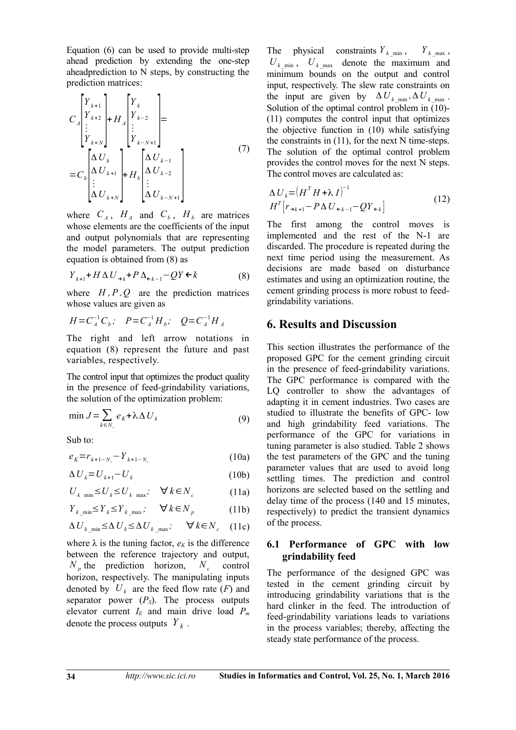Equation (6) can be used to provide multi-step ahead prediction by extending the one-step aheadprediction to N steps, by constructing the prediction matrices:

$$
C_{A}\begin{bmatrix} Y_{k+1} \\ Y_{k+2} \\ \vdots \\ Y_{k+N} \end{bmatrix} + H_{A}\begin{bmatrix} Y_{k} \\ Y_{k-2} \\ \vdots \\ Y_{k-N+1} \end{bmatrix} = C_{b}\begin{bmatrix} \Delta U_{k} \\ \Delta U_{k+1} \\ \vdots \\ \Delta U_{k+N} \end{bmatrix} + H_{b}\begin{bmatrix} \Delta U_{k-1} \\ \Delta U_{k-2} \\ \vdots \\ \Delta U_{k-N+1} \end{bmatrix}
$$
\n(7)

where  $C_A$ ,  $H_A$  and  $C_b$ ,  $H_b$  are matrices whose elements are the coefficients of the input and output polynomials that are representing the model parameters. The output prediction equation is obtained from (8) as

$$
Y_{k+1} + H \Delta U_{\rightarrow k} + P \Delta_{\epsilon_{k-1}} - QY \epsilon_k \tag{8}
$$

where  $H, P, Q$  are the prediction matrices whose values are given as

$$
H = C_A^{-1} C_b; \quad P = C_A^{-1} H_b; \quad Q = C_A^{-1} H_A
$$

The right and left arrow notations in equation (8) represent the future and past variables, respectively.

The control input that optimizes the product quality in the presence of feed-grindability variations, the solution of the optimization problem:

$$
\min J = \sum_{k \in N_c} e_k + \lambda \Delta U_k \tag{9}
$$

Sub to:

$$
e_K = r_{k+1-N_c} - Y_{k+1-N_c}
$$
 (10a)

$$
\Delta U_k = U_{k+1} - U_k \tag{10b}
$$

$$
U_{k \min} \le U_k \le U_{k \max}; \quad \forall k \in N_c \tag{11a}
$$

$$
Y_{k \min} \leq Y_k \leq Y_{k \max}; \quad \forall k \in N_p \tag{11b}
$$

$$
\Delta U_{k \min} \leq \Delta U_k \leq \Delta U_{k \max}; \quad \forall k \in N_c \quad (11c)
$$

where  $\lambda$  is the tuning factor,  $e_K$  is the difference between the reference trajectory and output,  $N_p$  the prediction horizon,  $N_c$  control horizon, respectively. The manipulating inputs denoted by  $U_k$  are the feed flow rate  $(F)$  and separator power  $(P<sub>S</sub>)$ . The process outputs elevator current *IE* and main drive load *P<sup>m</sup>* denote the process outputs *Y <sup>k</sup>* .

The physical constraints  $Y_{k_{\text{min}}}$ ,  $Y_{k_{\text{max}}}$ ,  $U_{k_{\text{min}}}$ ,  $U_{k_{\text{max}}}$  denote the maximum and minimum bounds on the output and control input, respectively. The slew rate constraints on the input are given by  $\Delta U_{k \min}$ ,  $\Delta U_{k \max}$ . Solution of the optimal control problem in (10)- (11) computes the control input that optimizes the objective function in (10) while satisfying the constraints in (11), for the next N time-steps. The solution of the optimal control problem provides the control moves for the next N steps. The control moves are calculated as:

$$
\Delta U_k = (H^T H + \lambda I)^{-1}
$$
  
\n
$$
H^T \big[ r_{\rightarrow k+1} - P \Delta U_{\leftarrow k-1} - Q Y_{\leftarrow k} \big]
$$
\n(12)

The first among the control moves is implemented and the rest of the N-1 are discarded. The procedure is repeated during the next time period using the measurement. As decisions are made based on disturbance estimates and using an optimization routine, the cement grinding process is more robust to feedgrindability variations.

#### **6. Results and Discussion**

This section illustrates the performance of the proposed GPC for the cement grinding circuit in the presence of feed-grindability variations. The GPC performance is compared with the LQ controller to show the advantages of adapting it in cement industries. Two cases are studied to illustrate the benefits of GPC- low and high grindability feed variations. The performance of the GPC for variations in tuning parameter is also studied. Table 2 shows the test parameters of the GPC and the tuning parameter values that are used to avoid long settling times. The prediction and control horizons are selected based on the settling and delay time of the process (140 and 15 minutes, respectively) to predict the transient dynamics of the process.

#### **6.1 Performance of GPC with low grindability feed**

The performance of the designed GPC was tested in the cement grinding circuit by introducing grindability variations that is the hard clinker in the feed. The introduction of feed-grindability variations leads to variations in the process variables; thereby, affecting the steady state performance of the process.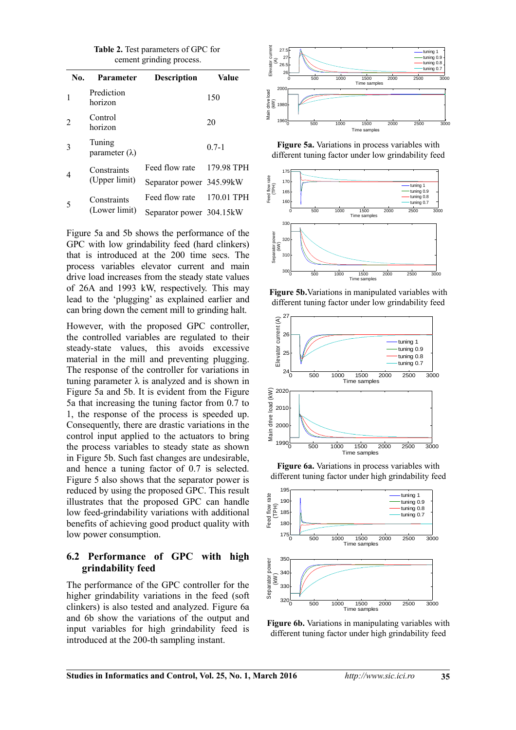| <b>Table 2.</b> Test parameters of GPC for<br>cement grinding process. |                                 |                    |        |  |  |  |  |  |
|------------------------------------------------------------------------|---------------------------------|--------------------|--------|--|--|--|--|--|
| No.                                                                    | <b>Parameter</b>                | <b>Description</b> | Value  |  |  |  |  |  |
|                                                                        | Prediction<br>horizon           |                    | 150    |  |  |  |  |  |
| 2                                                                      | Control<br>horizon              |                    | 20     |  |  |  |  |  |
|                                                                        | Tuning<br>parameter $(\lambda)$ |                    | $07-1$ |  |  |  |  |  |

| $\overline{4}$ | Constraints   | Feed flow rate           | 179.98 TPH |
|----------------|---------------|--------------------------|------------|
|                | (Upper limit) | Separator power 345.99kW |            |
|                | Constraints   | Feed flow rate           | 170.01 TPH |
| 5              | (Lower limit) | Separator power 304.15kW |            |

Figure 5a and 5b shows the performance of the GPC with low grindability feed (hard clinkers) that is introduced at the 200 time secs. The process variables elevator current and main drive load increases from the steady state values of 26A and 1993 kW, respectively. This may lead to the 'plugging' as explained earlier and can bring down the cement mill to grinding halt.

However, with the proposed GPC controller, the controlled variables are regulated to their steady-state values, this avoids excessive material in the mill and preventing plugging. The response of the controller for variations in tuning parameter  $\lambda$  is analyzed and is shown in Figure 5a and 5b. It is evident from the Figure 5a that increasing the tuning factor from 0.7 to 1, the response of the process is speeded up. Consequently, there are drastic variations in the control input applied to the actuators to bring the process variables to steady state as shown in Figure 5b. Such fast changes are undesirable, and hence a tuning factor of 0.7 is selected. Figure 5 also shows that the separator power is reduced by using the proposed GPC. This result illustrates that the proposed GPC can handle low feed-grindability variations with additional benefits of achieving good product quality with low power consumption.

#### **6.2 Performance of GPC with high grindability feed**

The performance of the GPC controller for the higher grindability variations in the feed (soft clinkers) is also tested and analyzed. Figure 6a and 6b show the variations of the output and input variables for high grindability feed is introduced at the 200-th sampling instant.



**Figure 5a.** Variations in process variables with different tuning factor under low grindability feed



**Figure 5b.**Variations in manipulated variables with different tuning factor under low grindability feed



**Figure 6a.** Variations in process variables with different tuning factor under high grindability feed



**Figure 6b.** Variations in manipulating variables with different tuning factor under high grindability feed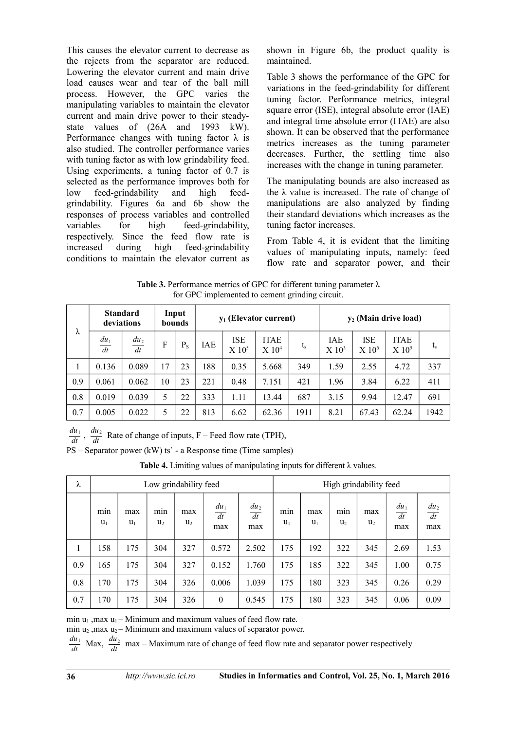This causes the elevator current to decrease as the rejects from the separator are reduced. Lowering the elevator current and main drive load causes wear and tear of the ball mill process. However, the GPC varies the manipulating variables to maintain the elevator current and main drive power to their steadystate values of (26A and 1993 kW). Performance changes with tuning factor  $\lambda$  is also studied. The controller performance varies with tuning factor as with low grindability feed. Using experiments, a tuning factor of 0.7 is selected as the performance improves both for low feed-grindability and high feedgrindability. Figures 6a and 6b show the responses of process variables and controlled variables for high feed-grindability, respectively. Since the feed flow rate is increased during high feed-grindability conditions to maintain the elevator current as shown in Figure 6b, the product quality is maintained.

Table 3 shows the performance of the GPC for variations in the feed-grindability for different tuning factor. Performance metrics, integral square error (ISE), integral absolute error (IAE) and integral time absolute error (ITAE) are also shown. It can be observed that the performance metrics increases as the tuning parameter decreases. Further, the settling time also increases with the change in tuning parameter.

The manipulating bounds are also increased as the  $λ$  value is increased. The rate of change of manipulations are also analyzed by finding their standard deviations which increases as the tuning factor increases.

From Table 4, it is evident that the limiting values of manipulating inputs, namely: feed flow rate and separator power, and their

**Table 3.** Performance metrics of GPC for different tuning parameter λ for GPC implemented to cement grinding circuit.

| λ   | <b>Standard</b><br>deviations |                   |    | Input<br>bounds | $v_1$ (Elevator current) |                                   |                                    |             | $y_2$ (Main drive load)           |                                 |                         |         |
|-----|-------------------------------|-------------------|----|-----------------|--------------------------|-----------------------------------|------------------------------------|-------------|-----------------------------------|---------------------------------|-------------------------|---------|
|     | $du_1$<br>dt                  | $\frac{du_2}{dt}$ | F  | $P_{S}$         | IAE                      | <b>ISE</b><br>$X$ 10 <sup>5</sup> | <b>ITAE</b><br>$X$ 10 <sup>4</sup> | $t_{\rm s}$ | <b>IAE</b><br>$X$ 10 <sup>3</sup> | <b>ISE</b><br>X 10 <sup>6</sup> | <b>ITAE</b><br>$X~10^5$ | $t_{s}$ |
|     | 0.136                         | 0.089             | 17 | 23              | 188                      | 0.35                              | 5.668                              | 349         | 1.59                              | 2.55                            | 4.72                    | 337     |
| 0.9 | 0.061                         | 0.062             | 10 | 23              | 221                      | 0.48                              | 7.151                              | 421         | 1.96                              | 3.84                            | 6.22                    | 411     |
| 0.8 | 0.019                         | 0.039             | 5  | 22              | 333                      | 1.11                              | 13.44                              | 687         | 3.15                              | 9.94                            | 12.47                   | 691     |
| 0.7 | 0.005                         | 0.022             | 5  | 22              | 813                      | 6.62                              | 62.36                              | 1911        | 8.21                              | 67.43                           | 62.24                   | 1942    |

 $\frac{du_1}{dt}$ ,  $\frac{du_2}{dt}$  Rate of change of inputs, F – Feed flow rate (TPH),

PS – Separator power (kW) ts` - a Response time (Time samples)

**Table 4.** Limiting values of manipulating inputs for different λ values.

| λ   | Low grindability feed |              |                       |                       |                     |                     | High grindability feed |              |                       |                       |                     |                     |
|-----|-----------------------|--------------|-----------------------|-----------------------|---------------------|---------------------|------------------------|--------------|-----------------------|-----------------------|---------------------|---------------------|
|     | min<br>$u_1$          | max<br>$u_1$ | min<br>U <sub>2</sub> | max<br>u <sub>2</sub> | $du_1$<br>dt<br>max | $du_2$<br>dt<br>max | min<br>$u_1$           | max<br>$u_1$ | min<br>U <sub>2</sub> | max<br>u <sub>2</sub> | $du_1$<br>dt<br>max | $du_2$<br>dt<br>max |
| 1   | 158                   | 175          | 304                   | 327                   | 0.572               | 2.502               | 175                    | 192          | 322                   | 345                   | 2.69                | 1.53                |
| 0.9 | 165                   | 175          | 304                   | 327                   | 0.152               | 1.760               | 175                    | 185          | 322                   | 345                   | 1.00                | 0.75                |
| 0.8 | 170                   | 175          | 304                   | 326                   | 0.006               | 1.039               | 175                    | 180          | 323                   | 345                   | 0.26                | 0.29                |
| 0.7 | 170                   | 175          | 304                   | 326                   | $\theta$            | 0.545               | 175                    | 180          | 323                   | 345                   | 0.06                | 0.09                |

min  $u_1$ , max  $u_1$  – Minimum and maximum values of feed flow rate.

min  $u_2$ , max  $u_2$  – Minimum and maximum values of separator power.

 $\frac{du_1}{dt}$  Max,  $\frac{du_2}{dt}$  max – Maximum rate of change of feed flow rate and separator power respectively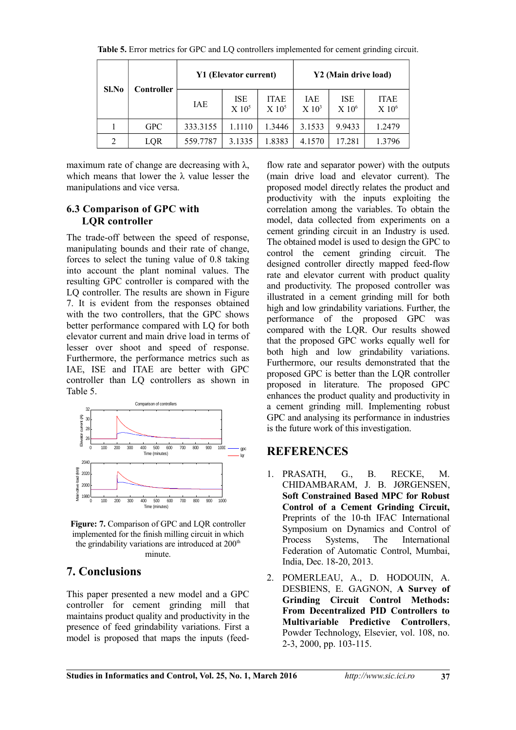| Sl.No | Controller |          | Y1 (Elevator current)      |                         | Y2 (Main drive load)              |                                 |                                  |  |
|-------|------------|----------|----------------------------|-------------------------|-----------------------------------|---------------------------------|----------------------------------|--|
|       |            | IAE      | ISE<br>$X$ 10 <sup>5</sup> | <b>ITAE</b><br>$X 10^5$ | <b>IAE</b><br>$X$ 10 <sup>3</sup> | <b>ISE</b><br>X 10 <sup>6</sup> | <b>ITAE</b><br>X 10 <sup>6</sup> |  |
|       | <b>GPC</b> | 333.3155 | 1.1110                     | 1.3446                  | 3.1533                            | 9.9433                          | 1.2479                           |  |
| 2     | LQR        | 559.7787 | 3.1335                     | 1.8383                  | 4.1570                            | 17.281                          | 1.3796                           |  |

**Table 5.** Error metrics for GPC and LQ controllers implemented for cement grinding circuit.

maximum rate of change are decreasing with  $\lambda$ , which means that lower the  $\lambda$  value lesser the manipulations and vice versa.

#### **6.3 Comparison of GPC with LQR controller**

The trade-off between the speed of response, manipulating bounds and their rate of change, forces to select the tuning value of 0.8 taking into account the plant nominal values. The resulting GPC controller is compared with the LQ controller. The results are shown in Figure 7. It is evident from the responses obtained with the two controllers, that the GPC shows better performance compared with LQ for both elevator current and main drive load in terms of lesser over shoot and speed of response. Furthermore, the performance metrics such as IAE, ISE and ITAE are better with GPC controller than LQ controllers as shown in Table 5.



**Figure: 7.** Comparison of GPC and LQR controller implemented for the finish milling circuit in which the grindability variations are introduced at  $200<sup>th</sup>$ minute.

# **7. Conclusions**

This paper presented a new model and a GPC controller for cement grinding mill that maintains product quality and productivity in the presence of feed grindability variations. First a model is proposed that maps the inputs (feedflow rate and separator power) with the outputs (main drive load and elevator current). The proposed model directly relates the product and productivity with the inputs exploiting the correlation among the variables. To obtain the model, data collected from experiments on a cement grinding circuit in an Industry is used. The obtained model is used to design the GPC to control the cement grinding circuit. The designed controller directly mapped feed-flow rate and elevator current with product quality and productivity. The proposed controller was illustrated in a cement grinding mill for both high and low grindability variations. Further, the performance of the proposed GPC was compared with the LQR. Our results showed that the proposed GPC works equally well for both high and low grindability variations. Furthermore, our results demonstrated that the proposed GPC is better than the LQR controller proposed in literature. The proposed GPC enhances the product quality and productivity in a cement grinding mill. Implementing robust GPC and analysing its performance in industries is the future work of this investigation.

# **REFERENCES**

- 1. PRASATH, G., B. RECKE, M. CHIDAMBARAM, J. B. JØRGENSEN, **Soft Constrained Based MPC for Robust Control of a Cement Grinding Circuit,** Preprints of the 10-th IFAC International Symposium on Dynamics and Control of Process Systems, The International Federation of Automatic Control, Mumbai, India, Dec. 18-20, 2013.
- 2. POMERLEAU, A., D. HODOUIN, A. DESBIENS, E. GAGNON, **A Survey of Grinding Circuit Control Methods: From Decentralized PID Controllers to Multivariable Predictive Controllers**, Powder Technology, Elsevier, vol. 108, no. 2-3, 2000, pp. 103-115.